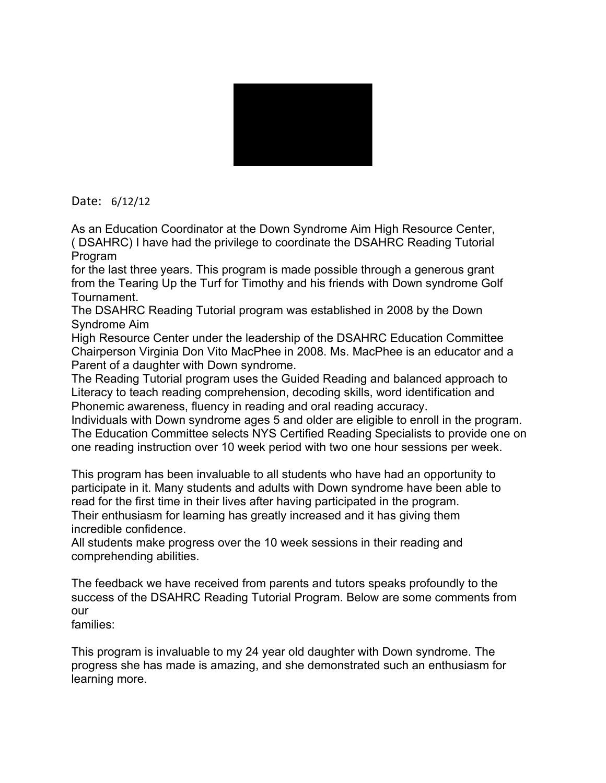

Date: 6/12/12

As an Education Coordinator at the Down Syndrome Aim High Resource Center, ( DSAHRC) I have had the privilege to coordinate the DSAHRC Reading Tutorial Program

for the last three years. This program is made possible through a generous grant from the Tearing Up the Turf for Timothy and his friends with Down syndrome Golf Tournament.

The DSAHRC Reading Tutorial program was established in 2008 by the Down Syndrome Aim

High Resource Center under the leadership of the DSAHRC Education Committee Chairperson Virginia Don Vito MacPhee in 2008. Ms. MacPhee is an educator and a Parent of a daughter with Down syndrome.

The Reading Tutorial program uses the Guided Reading and balanced approach to Literacy to teach reading comprehension, decoding skills, word identification and Phonemic awareness, fluency in reading and oral reading accuracy.

Individuals with Down syndrome ages 5 and older are eligible to enroll in the program. The Education Committee selects NYS Certified Reading Specialists to provide one on one reading instruction over 10 week period with two one hour sessions per week.

This program has been invaluable to all students who have had an opportunity to participate in it. Many students and adults with Down syndrome have been able to read for the first time in their lives after having participated in the program. Their enthusiasm for learning has greatly increased and it has giving them incredible confidence.

All students make progress over the 10 week sessions in their reading and comprehending abilities.

The feedback we have received from parents and tutors speaks profoundly to the success of the DSAHRC Reading Tutorial Program. Below are some comments from our

families:

This program is invaluable to my 24 year old daughter with Down syndrome. The progress she has made is amazing, and she demonstrated such an enthusiasm for learning more.